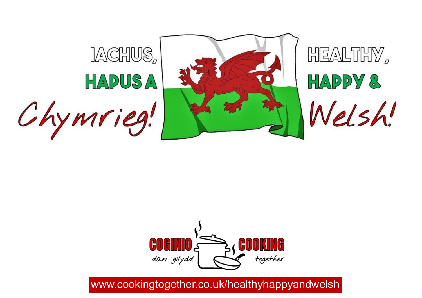



# www.cookingtogether.co.uk/healthyhappyandwelsh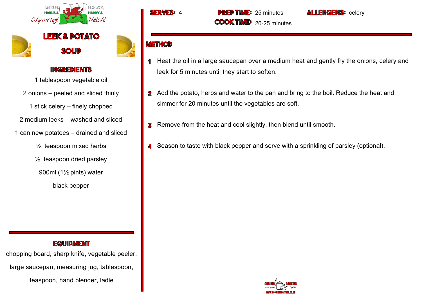

**ЮТАТО SOUD** 

#### **INGREDIENTS**

1 tablespoon vegetable oil

- 2 onions peeled and sliced thinly
	- 1 stick celery finely chopped

2 medium leeks – washed and sliced

- 1 can new potatoes drained and sliced
	- $\frac{1}{2}$  teaspoon mixed herbs
	- $\frac{1}{2}$  teaspoon dried parsley
	- 900ml (1½ pints) water
		- black pepper

#### **EQUIDMENT**

chopping board, sharp knife, vegetable peeler, large saucepan, measuring jug, tablespoon, teaspoon, hand blender, ladle

### **METHOD**

Heat the oil in a large saucepan over a medium heat and gently fry the onions, celery and 1 leek for 5 minutes until they start to soften.

**ALLERGENS:** celery

- 2 Add the potato, herbs and water to the pan and bring to the boil. Reduce the heat and simmer for 20 minutes until the vegetables are soft.
- **B** Remove from the heat and cool slightly, then blend until smooth.
- Season to taste with black pepper and serve with a sprinkling of parsley (optional). 4

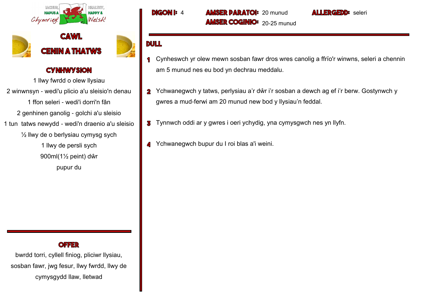



1 llwy fwrdd o olew llysiau 2 winwnsyn - wedi'u plicio a'u sleisio'n denau 1 ffon seleri - wedi'i dorri'n fân 2 genhinen ganolig - golchi a'u sleisio 1 tun tatws newydd - wedi'n draenio a'u sleisio  $\frac{1}{2}$  llwy de o berlysiau cymysg sych 1 llwy de persli sych 900ml(1½ peint) dŵr pupur du

#### **OFFER**

bwrdd torri, cyllell finiog, pliciwr llysiau, sosban fawr, jwg fesur, llwy fwrdd, llwy de cymysgydd llaw, lletwad

**DIGON I: 4 AMSER DARATOI: 20 munud AMSER COGINIO:** 20-25 munud

- Cynheswch yr olew mewn sosban fawr dros wres canolig a ffrïo'r winwns, seleri a chennin  $\overline{\mathbf{1}}$ am 5 munud nes eu bod yn dechrau meddalu.
- 2 Ychwanegwch y tatws, perlysiau a'r dŵr i'r sosban a dewch ag ef i'r berw. Gostynwch y gwres a mud-ferwi am 20 munud new bod y llysiau'n feddal.
- **3** Tynnwch oddi ar y gwres i oeri ychydig, yna cymysgwch nes yn llyfn.
- Ychwanegwch bupur du I roi blas a'i weini.

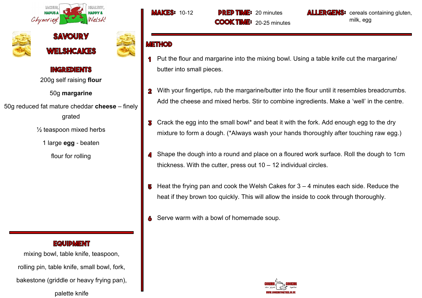





200g self raising **flour**

### 50g **margarine**

50g reduced fat mature cheddar **cheese** – finely grated

 $\frac{1}{2}$  teaspoon mixed herbs

1 large **egg** - beaten

flour for rolling

### **EQUIDMENT**

mixing bowl, table knife, teaspoon, rolling pin, table knife, small bowl, fork, bakestone (griddle or heavy frying pan), palette knife

**MAKES:** 10-12 **DRED TIME:** 20 minutes **COOK TIME:** 20-25 minutes **LLERGENS:** cereals containing gluten, milk, egg

- Put the flour and margarine into the mixing bowl. Using a table knife cut the margarine/ butter into small pieces.
- With your fingertips, rub the margarine/butter into the flour until it resembles breadcrumbs.  $\overline{\mathbf{2}}$ Add the cheese and mixed herbs. Stir to combine ingredients. Make a 'well' in the centre.
- Crack the egg into the small bowl\* and beat it with the fork. Add enough egg to the dry 3 mixture to form a dough. (\*Always wash your hands thoroughly after touching raw egg.)
- Shape the dough into a round and place on a floured work surface. Roll the dough to 1cm thickness. With the cutter, press out 10 – 12 individual circles.
- Heat the frying pan and cook the Welsh Cakes for 3 4 minutes each side. Reduce the 5 heat if they brown too quickly. This will allow the inside to cook through thoroughly.
- Serve warm with a bowl of homemade soup.

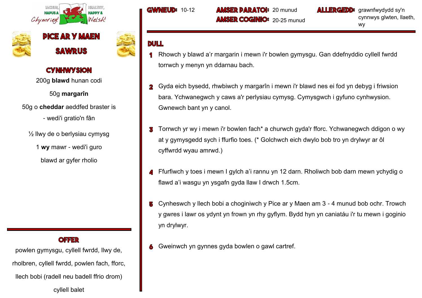





200g **blawd** hunan codi

50g **margarîn**

50g o **cheddar** aeddfed braster is

- wedi'i gratio'n fân

½ llwy de o berlysiau cymysg

1 **wy** mawr - wedi'i guro

blawd ar gyfer rholio

**OFFER** 

powlen gymysgu, cyllell fwrdd, llwy de, rholbren, cyllell fwrdd, powlen fach, fforc, llech bobi (radell neu badell ffrio drom) cyllell balet

**GWNEUD: 10-12 AMSER DARATOI: 20 munud AMSER COGINIO:** 20-25 munud **ALLERGEDD:** grawnfwydydd sy'n cynnwys glwten, llaeth, wy

- Rhowch y blawd a'r margarin i mewn i'r bowlen gymysgu. Gan ddefnyddio cyllell fwrdd torrwch y menyn yn ddarnau bach.
- Gyda eich bysedd, rhwbiwch y margarîn i mewn i'r blawd nes ei fod yn debyg i friwsion  $\overline{\mathbf{2}}$ bara. Ychwanegwch y caws a'r perlysiau cymysg. Cymysgwch i gyfuno cynhwysion. Gwnewch bant yn y canol.
- Torrwch yr wy i mewn i'r bowlen fach\* a churwch gyda'r fforc. Ychwanegwch ddigon o wy 3 at y gymysgedd sych i ffurfio toes. (\* Golchwch eich dwylo bob tro yn drylwyr ar ôl cyffwrdd wyau amrwd.)
- Ffurfiwch y toes i mewn I gylch a'i rannu yn 12 darn. Rholiwch bob darn mewn ychydig o flawd a'i wasgu yn ysgafn gyda llaw I drwch 1.5cm.
- Cynheswch y llech bobi a choginiwch y Pice ar y Maen am 3 4 munud bob ochr. Trowch 5 y gwres i lawr os ydynt yn frown yn rhy gyflym. Bydd hyn yn caniatáu i'r tu mewn i goginio yn drylwyr.
- Gweinwch yn gynnes gyda bowlen o gawl cartref.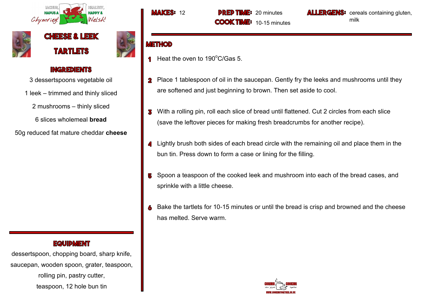





3 dessertspoons vegetable oil

1 leek – trimmed and thinly sliced

2 mushrooms – thinly sliced

6 slices wholemeal **bread**

50g reduced fat mature cheddar **cheese**

### **EQUIDMENT**

dessertspoon, chopping board, sharp knife, saucepan, wooden spoon, grater, teaspoon, rolling pin, pastry cutter, teaspoon, 12 hole bun tin

**MAKES:** 12 **DRED TIME:** 20 minutes **COOK TIME:** 10-15 minutes **LLERGENS:** cereals containing gluten, milk

- Heat the oven to  $190^{\circ}$ C/Gas 5.  $\blacksquare$
- Place 1 tablespoon of oil in the saucepan. Gently fry the leeks and mushrooms until they  $\overline{\mathbf{2}}$ are softened and just beginning to brown. Then set aside to cool.
- With a rolling pin, roll each slice of bread until flattened. Cut 2 circles from each slice 3 (save the leftover pieces for making fresh breadcrumbs for another recipe).
- Lightly brush both sides of each bread circle with the remaining oil and place them in the bun tin. Press down to form a case or lining for the filling.
- Spoon a teaspoon of the cooked leek and mushroom into each of the bread cases, and 5 sprinkle with a little cheese.
- Bake the tartlets for 10-15 minutes or until the bread is crisp and browned and the cheese has melted. Serve warm.

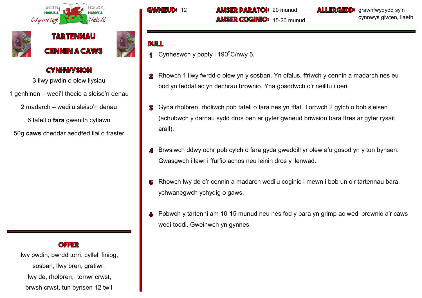





3 llwy pwdin o olew llysiau

1 genhinen – wedi'I thocio a sleiso'n denau

2 madarch – wedi'u sleiso'n denau

6 tafell o **fara** gwenith cyflawn

50g **caws** cheddar aeddfed llai o fraster

**OFFER** 

llwy pwdin, bwrdd torri, cyllell finiog, sosban, llwy bren, gratiwr, llwy de, rholbren, torrwr crwst, brwsh crwst, tun bynsen 12 twll

**GWNEUD: 12 AMSER PARATOI: 20 munud AMSER COGINIO:** 15-20 munud **ALLERGEDD:** grawnfwydydd sy'n cynnwys glwten, llaeth

- **1** Cynheswch y popty i  $190^{\circ}$ C/nwy 5.
- Rhowch 1 llwy fwrdd o olew yn y sosban. Yn ofalus, ffriwch y cennin a madarch nes eu  $\mathbf 2$ bod yn feddal ac yn dechrau brownio. Yna gosodwch o'r neilltu i oeri.
- Gyda rholbren, rholiwch pob tafell o fara nes yn fflat. Torrwch 2 gylch o bob sleisen В (achubwch y darnau sydd dros ben ar gyfer gwneud briwsion bara ffres ar gyfer rysáit arall).
- Brwsiwch ddwy ochr pob cylch o fara gyda gweddill yr olew a'u gosod yn y tun bynsen. Gwasgwch i lawr i ffurfio achos neu leinin dros y llenwad.
- Rhowch lwy de o'r cennin a madarch wedi'u coginio i mewn i bob un o'r tartennau bara, 5 ychwanegwch ychydig o gaws.
- Pobwch y tartenni am 10-15 munud neu nes fod y bara yn grimp ac wedi brownio a'r caws 6 wedi toddi. Gweinwch yn gynnes.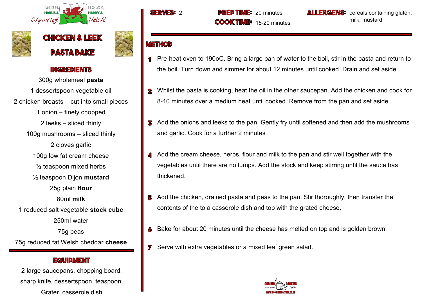





300g wholemeal **pasta** 1 dessertspoon vegetable oil 2 chicken breasts – cut into small pieces 1 onion – finely chopped 2 leeks – sliced thinly 100g mushrooms – sliced thinly 2 cloves garlic 100g low fat cream cheese  $\frac{1}{2}$  teaspoon mixed herbs ½ teaspoon Dijon **mustard** 25g plain **flour** 80ml **milk** 1 reduced salt vegetable **stock cube** 250ml water 75g peas 75g reduced fat Welsh cheddar **cheese**

#### **EQUIPMENT**

2 large saucepans, chopping board, sharp knife, dessertspoon, teaspoon, Grater, casserole dish

**SERVES: 2 DRED TIME: 20 minutes COOK TIME:** 15-20 minutes

**LLERGENS:** cereals containing gluten, milk, mustard

- Pre-heat oven to 190oC. Bring a large pan of water to the boil, stir in the pasta and return to the boil. Turn down and simmer for about 12 minutes until cooked. Drain and set aside.
- Whilst the pasta is cooking, heat the oil in the other saucepan. Add the chicken and cook for  $\overline{\mathbf{2}}$ 8-10 minutes over a medium heat until cooked. Remove from the pan and set aside.
- **3** Add the onions and leeks to the pan. Gently fry until softened and then add the mushrooms and garlic. Cook for a further 2 minutes
- Add the cream cheese, herbs, flour and milk to the pan and stir well together with the 4 vegetables until there are no lumps. Add the stock and keep stirring until the sauce has thickened.
- **5** Add the chicken, drained pasta and peas to the pan. Stir thoroughly, then transfer the contents of the to a casserole dish and top with the grated cheese.
- Bake for about 20 minutes until the cheese has melted on top and is golden brown.
- **7** Serve with extra vegetables or a mixed leaf green salad.

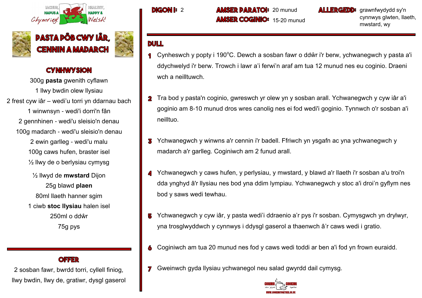



300g **pasta** gwenith cyflawn 1 llwy bwdin olew llysiau 2 frest cyw iâr – wedi'u torri yn ddarnau bach 1 winwnsyn - wedi'i dorri'n fân 2 gennhinen - wedi'u sleisio'n denau 100g madarch - wedi'u sleisio'n denau 2 ewin garlleg - wedi'u malu 100g caws hufen, braster isel ½ llwy de o berlysiau cymysg ½ llwyd de **mwstard** Dijon

25g blawd **plaen** 80ml llaeth hanner sgim 1 ciwb **stoc llysiau** halen isel 250ml o ddŵr 75g pys

2 sosban fawr, bwrdd torri, cyllell finiog, llwy bwdin, llwy de, gratiwr, dysgl gaserol

**DIGON I: 2 AMSER DARATOI: 20 munud AMSER COGINIO:** 15-20 munud **ALLERGEDD:** grawnfwydydd sy'n cynnwys glwten, llaeth, mwstard, wy

- **1** Cynheswch y popty i 190 $^{\circ}$ C. Dewch a sosban fawr o ddŵr i'r berw, ychwanegwch y pasta a'i ddychwelyd i'r berw. Trowch i lawr a'i ferwi'n araf am tua 12 munud nes eu coginio. Draeni wch a neilltuwch.
- 2 Tra bod y pasta'n coginio, gwreswch yr olew yn y sosban arall. Ychwanegwch y cyw iâr a'i goginio am 8-10 munud dros wres canolig nes ei fod wedi'i goginio. Tynnwch o'r sosban a'i neilltuo.
- Ychwanegwch y winwns a'r cennin i'r badell. Ffriwch yn ysgafn ac yna ychwanegwch y madarch a'r garlleg. Coginiwch am 2 funud arall.
- Ychwanegwch y caws hufen, y perlysiau, y mwstard, y blawd a'r llaeth i'r sosban a'u troi'n 4 dda ynghyd â'r llysiau nes bod yna ddim lympiau. Ychwanegwch y stoc a'i droi'n gyflym nes bod y saws wedi tewhau.
- Ychwanegwch y cyw iâr, y pasta wedi'i ddraenio a'r pys i'r sosban. Cymysgwch yn drylwyr, yna trosglwyddwch y cynnwys i ddysgl gaserol a thaenwch â'r caws wedi i gratio.
- Coginiwch am tua 20 munud nes fod y caws wedi toddi ar ben a'i fod yn frown euraidd.
- **7** Gweinwch gyda llysiau ychwanegol neu salad gwyrdd dail cymysg.

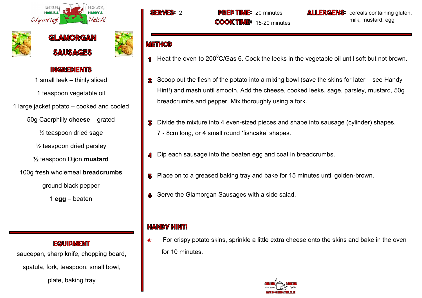





1 small leek – thinly sliced 1 teaspoon vegetable oil 1 large jacket potato – cooked and cooled 50g Caerphilly **cheese** – grated  $\frac{1}{2}$  teaspoon dried sage

 $\frac{1}{2}$  teaspoon dried parsley

½ teaspoon Dijon **mustard**

100g fresh wholemeal **breadcrumbs**

ground black pepper

1 **egg** – beaten

**EQUIDMENT** 

saucepan, sharp knife, chopping board,

spatula, fork, teaspoon, small bowl,

plate, baking tray

**SERVES: 2 DRED TIME: 20 minutes COOK TIME:** 15-20 minutes

**LLERGENS:** cereals containing gluten, milk, mustard, egg

## **METHOD**

- Heat the oven to 200 $\mathrm{^0C/Gas}$  6. Cook the leeks in the vegetable oil until soft but not brown.  $\blacksquare$
- Scoop out the flesh of the potato into a mixing bowl (save the skins for later see Handy  $\overline{\mathbf{2}}$ Hint!) and mash until smooth. Add the cheese, cooked leeks, sage, parsley, mustard, 50g breadcrumbs and pepper. Mix thoroughly using a fork.
- Divide the mixture into 4 even-sized pieces and shape into sausage (cylinder) shapes, 7 - 8cm long, or 4 small round 'fishcake' shapes.
- Dip each sausage into the beaten egg and coat in breadcrumbs.
- Place on to a greased baking tray and bake for 15 minutes until golden-brown. 5
- Serve the Glamorgan Sausages with a side salad.

## **HANDY HINT!**

**\*** For crispy potato skins, sprinkle a little extra cheese onto the skins and bake in the oven for 10 minutes.

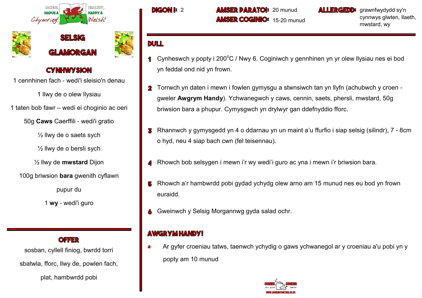





1 cennhinen fach - wedi'i sleisio'n denau

1 llwy de o olew llysiau

1 taten bob fawr – wedi ei choginio ac oeri

50g **Caws** Caerffili - wedi'i gratio

 $\frac{1}{2}$  llwy de o saets sych

 $\frac{1}{2}$  llwy de o bersli sych

½ llwy de **mwstard** Dijon

100g briwsion **bara** gwenith cyflawn

pupur du

1 **wy** - wedi'i guro

**OFFER** 

sosban, cyllell finiog, bwrdd torri

sbatwla, fforc, llwy de, powlen fach,

plat, hambwrdd pobi

**DIGON I: 20 munud AMSER DARATOI: 20 munud AMSER COGINIO:** 15-20 munud **ALLERGEDD:** grawnfwydydd sy'n cynnwys glwten, llaeth, mwstard, wy

## **DULL**

- Cynheswch y popty i 200 $\degree$ C / Nwy 6. Coginiwch y gennhinen yn yr olew llysiau nes ei bod yn feddal ond nid yn frown.
- Torrwch yn daten i mewn i fowlen gymysgu a stwnsiwch tan yn llyfn (achubwch y croen  $\mathbf 2$ gweler **Awgrym Handy**). Ychwanegwch y caws, cennin, saets, phersli, mwstard, 50g briwsion bara a phupur. Cymysgwch yn drylwyr gan ddefnyddio fforc.
- Rhannwch y gymysgedd yn 4 o ddarnau yn un maint a'u ffurfio i siap selsig (silindr), 7 8cm 3 o hyd, neu 4 siap bach cwn (fel teisennau).
- Rhowch bob selsygen i mewn i'r wy wedi'i guro ac yna i mewn i'r briwsion bara.
- Rhowch a'r hambwrdd pobi gydad ychydg olew arno am 15 munud nes eu bod yn frown euraidd.
- Gweinwch y Selsig Morgannwg gyda salad ochr.

## **AWGRYM HANDY!**

**\*** Ar gyfer croeniau tatws, taenwch ychydig o gaws ychwanegol ar y croeniau a'u pobi yn y popty am 10 munud

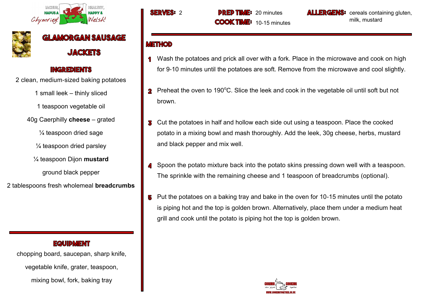



**GLAMORGAN SAUSAGE JACKETS** 

### **INGREDIENTS**

2 clean, medium-sized baking potatoes

1 small leek – thinly sliced

1 teaspoon vegetable oil

40g Caerphilly **cheese** – grated

¼ teaspoon dried sage

¼ teaspoon dried parsley

¼ teaspoon Dijon **mustard**

ground black pepper

2 tablespoons fresh wholemeal **breadcrumbs**

### **EQUIDMENT**

chopping board, saucepan, sharp knife, vegetable knife, grater, teaspoon, mixing bowl, fork, baking tray

**SERVES: 2 DRED TIME: 20 minutes COOK TIME:** 10-15 minutes

**LLERGENS:** cereals containing gluten, milk, mustard

- Wash the potatoes and prick all over with a fork. Place in the microwave and cook on high for 9-10 minutes until the potatoes are soft. Remove from the microwave and cool slightly.
- **2** Preheat the oven to 190 $^{\circ}$ C. Slice the leek and cook in the vegetable oil until soft but not brown.
- Cut the potatoes in half and hollow each side out using a teaspoon. Place the cooked 3 potato in a mixing bowl and mash thoroughly. Add the leek, 30g cheese, herbs, mustard and black pepper and mix well.
- Spoon the potato mixture back into the potato skins pressing down well with a teaspoon. The sprinkle with the remaining cheese and 1 teaspoon of breadcrumbs (optional).
- Put the potatoes on a baking tray and bake in the oven for 10-15 minutes until the potato 5 is piping hot and the top is golden brown. Alternatively, place them under a medium heat grill and cook until the potato is piping hot the top is golden brown.

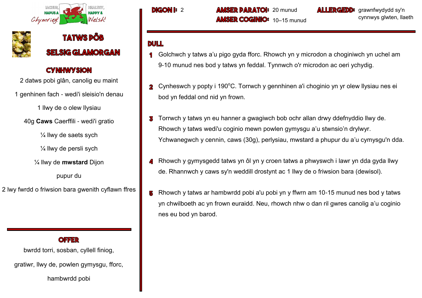



2 datws pobi glân, canolig eu maint

1 genhinen fach - wedi'i sleisio'n denau

1 llwy de o olew llysiau

40g **Caws** Caerffili - wedi'i gratio

¼ llwy de saets sych

¼ llwy de persli sych

¼ llwy de **mwstard** Dijon

pupur du

2 lwy fwrdd o friwsion bara gwenith cyflawn ffres

### OFFER

bwrdd torri, sosban, cyllell finiog,

gratiwr, llwy de, powlen gymysgu, fforc,

hambwrdd pobi

**DIGON I: 2 AMSER DARATOI: 20 munud AMSER COGINIO:** 10–15 munud **ALLERGEDD:** grawnfwydydd sy'n cynnwys glwten, llaeth

- **1** Golchwch y tatws a'u pigo gyda fforc. Rhowch yn y microdon a choginiwch yn uchel am 9-10 munud nes bod y tatws yn feddal. Tynnwch o'r microdon ac oeri ychydig.
- Cynheswch y popty i 190°C. Torrwch y gennhinen a'i choginio yn yr olew llysiau nes ei  $\overline{\mathbf{2}}$ bod yn feddal ond nid yn frown.
- Torrwch y tatws yn eu hanner a gwagiwch bob ochr allan drwy ddefnyddio llwy de. В Rhowch y tatws wedi'u coginio mewn powlen gymysgu a'u stwnsio'n drylwyr. Ychwanegwch y cennin, caws (30g), perlysiau, mwstard a phupur du a'u cymysgu'n dda.
- Rhowch y gymysgedd tatws yn ôl yn y croen tatws a phwyswch i lawr yn dda gyda llwy de. Rhannwch y caws sy'n weddill drostynt ac 1 llwy de o friwsion bara (dewisol).
- Rhowch y tatws ar hambwrdd pobi a'u pobi yn y ffwrn am 10-15 munud nes bod y tatws 5 yn chwilboeth ac yn frown euraidd. Neu, rhowch nhw o dan ril gwres canolig a'u coginio nes eu bod yn barod.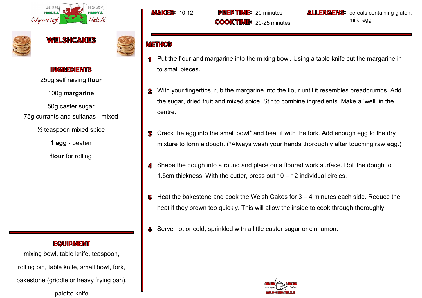





250g self raising **flour**

100g **margarine** 

50g caster sugar 75g currants and sultanas - mixed

 $\frac{1}{2}$  teaspoon mixed spice

1 **egg** - beaten

**flour** for rolling

### **EQUIDMENT**

mixing bowl, table knife, teaspoon, rolling pin, table knife, small bowl, fork, bakestone (griddle or heavy frying pan), palette knife

**MAKES:** 10-12 **DRED TIME:** 20 minutes **COOK TIME:** 20-25 minutes **LLERGENS:** cereals containing gluten, milk, egg

- Put the flour and margarine into the mixing bowl. Using a table knife cut the margarine in  $\mathbf 1$ to small pieces.
- With your fingertips, rub the margarine into the flour until it resembles breadcrumbs. Add  $\overline{\mathbf{2}}$ the sugar, dried fruit and mixed spice. Stir to combine ingredients. Make a 'well' in the centre.
- Crack the egg into the small bowl\* and beat it with the fork. Add enough egg to the dry 3 mixture to form a dough. (\*Always wash your hands thoroughly after touching raw egg.)
- Shape the dough into a round and place on a floured work surface. Roll the dough to 1.5cm thickness. With the cutter, press out 10 – 12 individual circles.
- Heat the bakestone and cook the Welsh Cakes for 3 4 minutes each side. Reduce the 5 heat if they brown too quickly. This will allow the inside to cook through thoroughly.
- Serve hot or cold, sprinkled with a little caster sugar or cinnamon. 6

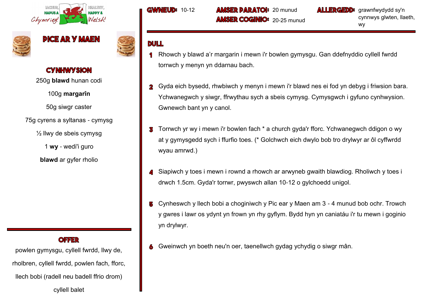





250g **blawd** hunan codi

100g **margarîn** 

50g siwgr caster

75g cyrens a syltanas - cymysg

 $\frac{1}{2}$  llwy de sbeis cymysg

1 **wy** - wedi'i guro

**blawd** ar gyfer rholio

**OFFER** 

powlen gymysgu, cyllell fwrdd, llwy de, rholbren, cyllell fwrdd, powlen fach, fforc, llech bobi (radell neu badell ffrio drom) cyllell balet

**GWNEUD: 10-12 AMSER DARATOI: 20 munud AMSER COGINIO:** 20-25 munud **ALLERGEDD:** grawnfwydydd sy'n cynnwys glwten, llaeth, wy

- Rhowch y blawd a'r margarin i mewn i'r bowlen gymysgu. Gan ddefnyddio cyllell fwrdd torrwch y menyn yn ddarnau bach.
- Gyda eich bysedd, rhwbiwch y menyn i mewn i'r blawd nes ei fod yn debyg i friwsion bara.  $\overline{\mathbf{2}}$ Ychwanegwch y siwgr, ffrwythau sych a sbeis cymysg. Cymysgwch i gyfuno cynhwysion. Gwnewch bant yn y canol.
- Torrwch yr wy i mewn i'r bowlen fach \* a church gyda'r fforc. Ychwanegwch ddigon o wy В at y gymysgedd sych i ffurfio toes. (\* Golchwch eich dwylo bob tro drylwyr ar ôl cyffwrdd wyau amrwd.)
- Siapiwch y toes i mewn i rownd a rhowch ar arwyneb gwaith blawdiog. Rholiwch y toes i drwch 1.5cm. Gyda'r torrwr, pwyswch allan 10-12 o gylchoedd unigol.
- Cynheswch y llech bobi a choginiwch y Pic ear y Maen am 3 4 munud bob ochr. Trowch 5 y gwres i lawr os ydynt yn frown yn rhy gyflym. Bydd hyn yn caniatáu i'r tu mewn i goginio yn drylwyr.
- Gweinwch yn boeth neu'n oer, taenellwch gydag ychydig o siwgr mân.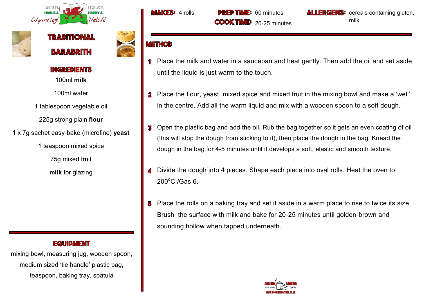







100ml **milk** 

100ml water

1 tablespoon vegetable oil

225g strong plain **flour**

1 x 7g sachet easy-bake (microfine) **yeast**

1 teaspoon mixed spice

75g mixed fruit

**milk** for glazing

### **EQUIDMENT**

mixing bowl, measuring jug, wooden spoon, medium sized 'tie handle' plastic bag, teaspoon, baking tray, spatula

**MAKES:** 4 rolls **DREP TIME:** 60 minutes **COOK TIME:** 20-25 minutes

**LLERGENS**<sup>3</sup> cereals containing gluten, milk

- Place the milk and water in a saucepan and heat gently. Then add the oil and set aside 1 until the liquid is just warm to the touch.
- Place the flour, yeast, mixed spice and mixed fruit in the mixing bowl and make a 'well'  $\mathbf{2}$ in the centre. Add all the warm liquid and mix with a wooden spoon to a soft dough.
- Open the plastic bag and add the oil. Rub the bag together so it gets an even coating of oil 3 (this will stop the dough from sticking to it), then place the dough in the bag. Knead the dough in the bag for 4-5 minutes until it develops a soft, elastic and smooth texture.
- Divide the dough into 4 pieces. Shape each piece into oval rolls. Heat the oven to  $200^{\circ}$ C /Gas 6.
- Place the rolls on a baking tray and set it aside in a warm place to rise to twice its size. 5 Brush the surface with milk and bake for 20-25 minutes until golden-brown and sounding hollow when tapped underneath.

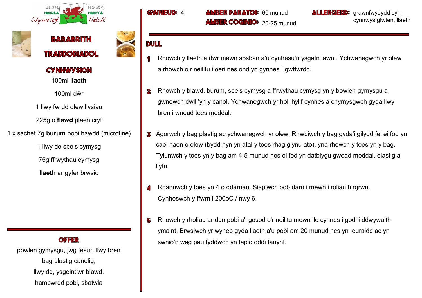





100ml **llaeth**

100ml dŵr

1 llwy fwrdd olew llysiau

225g o **flawd** plaen cryf

1 x sachet 7g **burum** pobi hawdd (microfine)

1 llwy de sbeis cymysg 75g ffrwythau cymysg **llaeth** ar gyfer brwsio

#### **OFFER**

powlen gymysgu, jwg fesur, llwy bren bag plastig canolig, llwy de, ysgeintiwr blawd, hambwrdd pobi, sbatwla

**GWMEUD:** 

**MSER PARATOI: 60 munud AMSER COGINIO:** 20-25 munud

**LLERGEDD:** grawnfwydydd sy'n cynnwys glwten, llaeth

- Rhowch y llaeth a dwr mewn sosban a'u cynhesu'n ysgafn iawn . Ychwanegwch yr olew  $\mathbf 1$ a rhowch o'r neilltu i oeri nes ond yn gynnes I gwffwrdd.
- Rhowch y blawd, burum, sbeis cymysg a ffrwythau cymysg yn y bowlen gymysgu a  $\mathbf{2}$ gwnewch dwll 'yn y canol. Ychwanegwch yr holl hylif cynnes a chymysgwch gyda llwy bren i wneud toes meddal.
- Agorwch y bag plastig ac ychwanegwch yr olew. Rhwbiwch y bag gyda'i gilydd fel ei fod yn cael haen o olew (bydd hyn yn atal y toes rhag glynu ato), yna rhowch y toes yn y bag. Tylunwch y toes yn y bag am 4-5 munud nes ei fod yn datblygu gwead meddal, elastig a llyfn.
- Rhannwch y toes yn 4 o ddarnau. Siapiwch bob darn i mewn i roliau hirgrwn. Cynheswch y ffwrn i 200oC / nwy 6.
- Rhowch y rholiau ar dun pobi a'i gosod o'r neilltu mewn lle cynnes i godi i ddwywaith 5 ymaint. Brwsiwch yr wyneb gyda llaeth a'u pobi am 20 munud nes yn euraidd ac yn swnio'n wag pau fyddwch yn tapio oddi tanynt.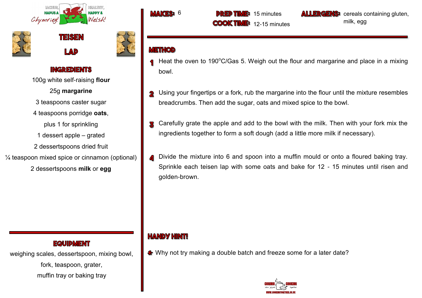





100g white self-raising **flour**

25g **margarine** 

3 teaspoons caster sugar

4 teaspoons porridge **oats**,

- plus 1 for sprinkling
- 1 dessert apple grated
- 2 dessertspoons dried fruit
- ¼ teaspoon mixed spice or cinnamon (optional)
	- 2 dessertspoons **milk** or **egg**

## VAKE

**PREP TIME:** 15 minutes **COOK TIME:** 12-15 minutes **ALLERGENS:** cereals containing gluten, milk, egg

## **METHOD**

- Heat the oven to  $190^{\circ}$ C/Gas 5. Weigh out the flour and margarine and place in a mixing bowl.
- Using your fingertips or a fork, rub the margarine into the flour until the mixture resembles  $\overline{\bf 2}$ breadcrumbs. Then add the sugar, oats and mixed spice to the bowl.
- Carefully grate the apple and add to the bowl with the milk. Then with your fork mix the Ī. ingredients together to form a soft dough (add a little more milk if necessary).
- Divide the mixture into 6 and spoon into a muffin mould or onto a floured baking tray. Sprinkle each teisen lap with some oats and bake for 12 - 15 minutes until risen and golden-brown.

## **HANDY HINT!**

Why not try making a double batch and freeze some for a later date?



### **EQUIDMENT**

weighing scales, dessertspoon, mixing bowl, fork, teaspoon, grater, muffin tray or baking tray